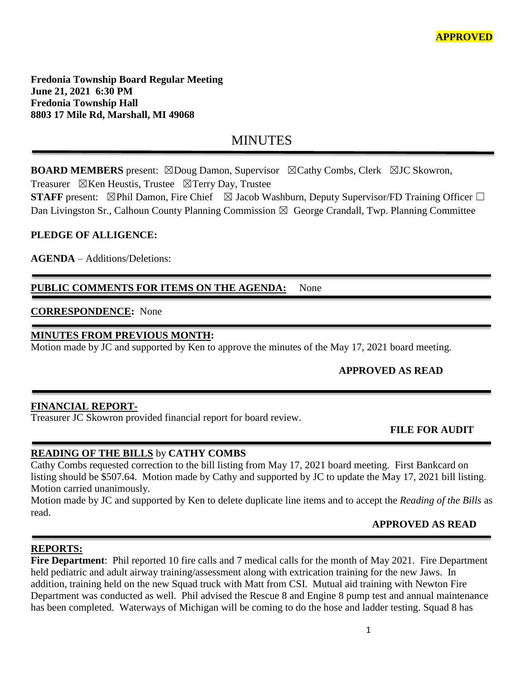**Fredonia Township Board Regular Meeting June 21, 2021 6:30 PM Fredonia Township Hall 8803 17 Mile Rd, Marshall, MI 49068**

# **MINUTES**

**BOARD MEMBERS** present: ⊠Doug Damon, Supervisor ⊠Cathy Combs, Clerk ⊠JC Skowron,

Treasurer  $\boxtimes$ Ken Heustis, Trustee  $\boxtimes$ Terry Day, Trustee

**STAFF** present: ⊠Phil Damon, Fire Chief ⊠ Jacob Washburn, Deputy Supervisor/FD Training Officer □ Dan Livingston Sr., Calhoun County Planning Commission  $\boxtimes$  George Crandall, Twp. Planning Committee

## **PLEDGE OF ALLIGENCE:**

**AGENDA** – Additions/Deletions:

## PUBLIC COMMENTS FOR ITEMS ON THE AGENDA: None

## **CORRESPONDENCE:** None

### **MINUTES FROM PREVIOUS MONTH:**

Motion made by JC and supported by Ken to approve the minutes of the May 17, 2021 board meeting.

## **APPROVED AS READ**

#### **FINANCIAL REPORT-**

Treasurer JC Skowron provided financial report for board review.

## **FILE FOR AUDIT**

#### **READING OF THE BILLS** by **CATHY COMBS**

Cathy Combs requested correction to the bill listing from May 17, 2021 board meeting. First Bankcard on listing should be \$507.64. Motion made by Cathy and supported by JC to update the May 17, 2021 bill listing. Motion carried unanimously.

Motion made by JC and supported by Ken to delete duplicate line items and to accept the *Reading of the Bills* as read.

## **APPROVED AS READ**

#### **REPORTS:**

**Fire Department**: Phil reported 10 fire calls and 7 medical calls for the month of May 2021. Fire Department held pediatric and adult airway training/assessment along with extrication training for the new Jaws. In addition, training held on the new Squad truck with Matt from CSI. Mutual aid training with Newton Fire Department was conducted as well. Phil advised the Rescue 8 and Engine 8 pump test and annual maintenance has been completed. Waterways of Michigan will be coming to do the hose and ladder testing. Squad 8 has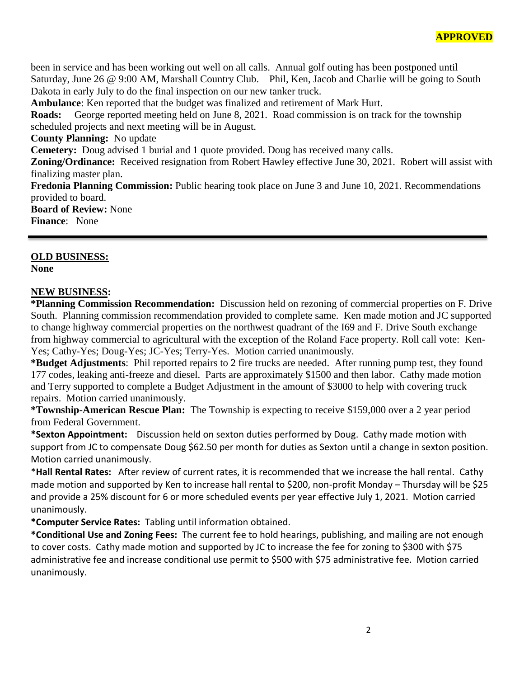been in service and has been working out well on all calls. Annual golf outing has been postponed until Saturday, June 26 @ 9:00 AM, Marshall Country Club. Phil, Ken, Jacob and Charlie will be going to South Dakota in early July to do the final inspection on our new tanker truck.

**Ambulance**: Ken reported that the budget was finalized and retirement of Mark Hurt.

**Roads:** George reported meeting held on June 8, 2021. Road commission is on track for the township scheduled projects and next meeting will be in August.

**County Planning:** No update

**Cemetery:** Doug advised 1 burial and 1 quote provided. Doug has received many calls.

**Zoning/Ordinance:** Received resignation from Robert Hawley effective June 30, 2021. Robert will assist with finalizing master plan.

**Fredonia Planning Commission:** Public hearing took place on June 3 and June 10, 2021. Recommendations provided to board.

**Board of Review:** None

**Finance**: None

#### **OLD BUSINESS:**

**None**

#### **NEW BUSINESS:**

**\*Planning Commission Recommendation:** Discussion held on rezoning of commercial properties on F. Drive South. Planning commission recommendation provided to complete same. Ken made motion and JC supported to change highway commercial properties on the northwest quadrant of the I69 and F. Drive South exchange from highway commercial to agricultural with the exception of the Roland Face property. Roll call vote: Ken-Yes; Cathy-Yes; Doug-Yes; JC-Yes; Terry-Yes. Motion carried unanimously.

**\*Budget Adjustments**: Phil reported repairs to 2 fire trucks are needed. After running pump test, they found 177 codes, leaking anti-freeze and diesel. Parts are approximately \$1500 and then labor. Cathy made motion and Terry supported to complete a Budget Adjustment in the amount of \$3000 to help with covering truck repairs. Motion carried unanimously.

**\*Township-American Rescue Plan:** The Township is expecting to receive \$159,000 over a 2 year period from Federal Government.

**\*Sexton Appointment:** Discussion held on sexton duties performed by Doug. Cathy made motion with support from JC to compensate Doug \$62.50 per month for duties as Sexton until a change in sexton position. Motion carried unanimously.

\***Hall Rental Rates:** After review of current rates, it is recommended that we increase the hall rental. Cathy made motion and supported by Ken to increase hall rental to \$200, non-profit Monday – Thursday will be \$25 and provide a 25% discount for 6 or more scheduled events per year effective July 1, 2021. Motion carried unanimously.

**\*Computer Service Rates:** Tabling until information obtained.

**\*Conditional Use and Zoning Fees:** The current fee to hold hearings, publishing, and mailing are not enough to cover costs. Cathy made motion and supported by JC to increase the fee for zoning to \$300 with \$75 administrative fee and increase conditional use permit to \$500 with \$75 administrative fee. Motion carried unanimously.